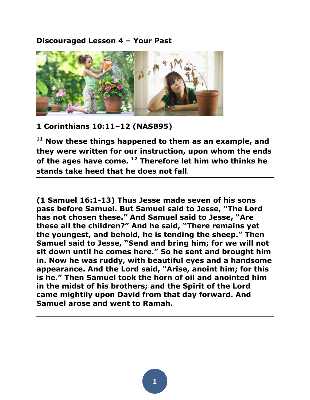## **Discouraged Lesson 4 – Your Past**



## **1 Corinthians 10:11–12 (NASB95)**

**<sup>11</sup> Now these things happened to them as an example, and they were written for our instruction, upon whom the ends of the ages have come. <sup>12</sup> Therefore let him who thinks he stands take heed that he does not fall**.

**(1 Samuel 16:1-13) Thus Jesse made seven of his sons pass before Samuel. But Samuel said to Jesse, "The Lord has not chosen these." And Samuel said to Jesse, "Are these all the children?" And he said, "There remains yet the youngest, and behold, he is tending the sheep." Then Samuel said to Jesse, "Send and bring him; for we will not sit down until he comes here." So he sent and brought him in. Now he was ruddy, with beautiful eyes and a handsome appearance. And the Lord said, "Arise, anoint him; for this is he." Then Samuel took the horn of oil and anointed him in the midst of his brothers; and the Spirit of the Lord came mightily upon David from that day forward. And Samuel arose and went to Ramah.**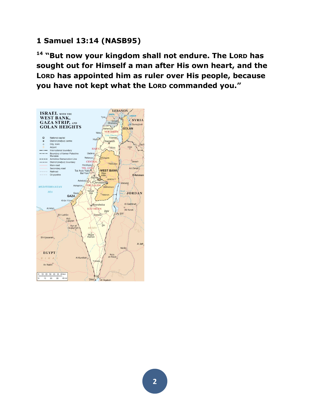# **1 Samuel 13:14 (NASB95)**

**<sup>14</sup> "But now your kingdom shall not endure. The LORD has sought out for Himself a man after His own heart, and the LORD has appointed him as ruler over His people, because you have not kept what the LORD commanded you."** 

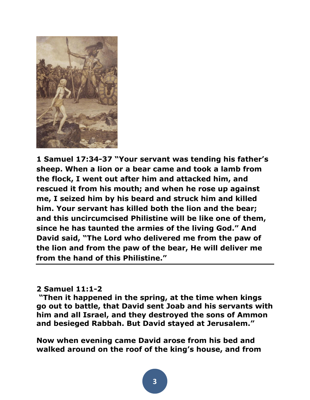

**1 Samuel 17:34-37 "Your servant was tending his father's sheep. When a lion or a bear came and took a lamb from the flock, I went out after him and attacked him, and rescued it from his mouth; and when he rose up against me, I seized him by his beard and struck him and killed him. Your servant has killed both the lion and the bear; and this uncircumcised Philistine will be like one of them, since he has taunted the armies of the living God." And David said, "The Lord who delivered me from the paw of the lion and from the paw of the bear, He will deliver me from the hand of this Philistine."**

#### **2 Samuel 11:1-2**

**"Then it happened in the spring, at the time when kings go out to battle, that David sent Joab and his servants with him and all Israel, and they destroyed the sons of Ammon and besieged Rabbah. But David stayed at Jerusalem."** 

**Now when evening came David arose from his bed and walked around on the roof of the king's house, and from**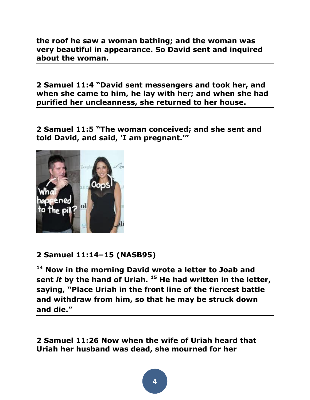**the roof he saw a woman bathing; and the woman was very beautiful in appearance. So David sent and inquired about the woman.** 

**2 Samuel 11:4 "David sent messengers and took her, and when she came to him, he lay with her; and when she had purified her uncleanness, she returned to her house.**

**2 Samuel 11:5 "The woman conceived; and she sent and told David, and said, 'I am pregnant.'"** 



# **2 Samuel 11:14–15 (NASB95)**

**<sup>14</sup> Now in the morning David wrote a letter to Joab and sent** *it* **by the hand of Uriah. <sup>15</sup> He had written in the letter, saying, "Place Uriah in the front line of the fiercest battle and withdraw from him, so that he may be struck down and die."**

**2 Samuel 11:26 Now when the wife of Uriah heard that Uriah her husband was dead, she mourned for her**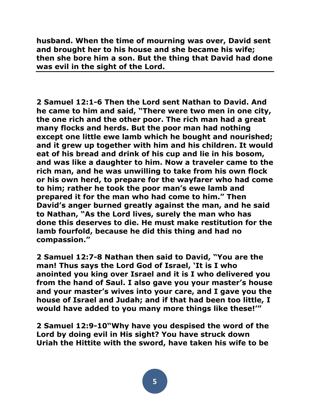**husband. When the time of mourning was over, David sent and brought her to his house and she became his wife; then she bore him a son. But the thing that David had done was evil in the sight of the Lord.** 

**2 Samuel 12:1-6 Then the Lord sent Nathan to David. And he came to him and said, "There were two men in one city, the one rich and the other poor. The rich man had a great many flocks and herds. But the poor man had nothing except one little ewe lamb which he bought and nourished; and it grew up together with him and his children. It would eat of his bread and drink of his cup and lie in his bosom, and was like a daughter to him. Now a traveler came to the rich man, and he was unwilling to take from his own flock or his own herd, to prepare for the wayfarer who had come to him; rather he took the poor man's ewe lamb and prepared it for the man who had come to him." Then David's anger burned greatly against the man, and he said to Nathan, "As the Lord lives, surely the man who has done this deserves to die. He must make restitution for the lamb fourfold, because he did this thing and had no compassion."** 

**2 Samuel 12:7-8 Nathan then said to David, "You are the man! Thus says the Lord God of Israel, 'It is I who anointed you king over Israel and it is I who delivered you from the hand of Saul. I also gave you your master's house and your master's wives into your care, and I gave you the house of Israel and Judah; and if that had been too little, I would have added to you many more things like these!'"** 

**2 Samuel 12:9-10"Why have you despised the word of the Lord by doing evil in His sight? You have struck down Uriah the Hittite with the sword, have taken his wife to be**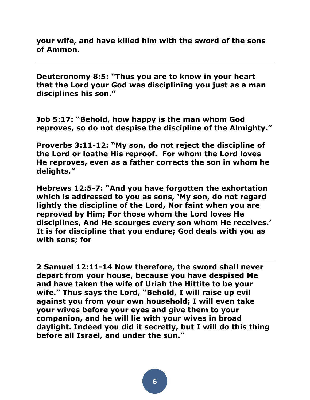**your wife, and have killed him with the sword of the sons of Ammon.**

**Deuteronomy 8:5: "Thus you are to know in your heart that the Lord your God was disciplining you just as a man disciplines his son."**

**Job 5:17: "Behold, how happy is the man whom God reproves, so do not despise the discipline of the Almighty."**

**Proverbs 3:11-12: "My son, do not reject the discipline of the Lord or loathe His reproof. For whom the Lord loves He reproves, even as a father corrects the son in whom he delights."**

**Hebrews 12:5-7: "And you have forgotten the exhortation which is addressed to you as sons, 'My son, do not regard lightly the discipline of the Lord, Nor faint when you are reproved by Him; For those whom the Lord loves He disciplines, And He scourges every son whom He receives.' It is for discipline that you endure; God deals with you as with sons; for**

**2 Samuel 12:11-14 Now therefore, the sword shall never depart from your house, because you have despised Me and have taken the wife of Uriah the Hittite to be your wife." Thus says the Lord, "Behold, I will raise up evil against you from your own household; I will even take your wives before your eyes and give them to your companion, and he will lie with your wives in broad daylight. Indeed you did it secretly, but I will do this thing before all Israel, and under the sun."**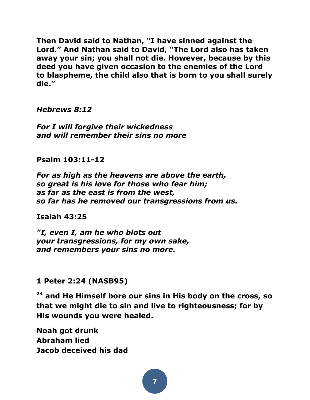**Then David said to Nathan, "I have sinned against the Lord." And Nathan said to David, "The Lord also has taken away your sin; you shall not die. However, because by this deed you have given occasion to the enemies of the Lord to blaspheme, the child also that is born to you shall surely die."**

*Hebrews 8:12*

*For I will forgive their wickedness and will remember their sins no more* 

**Psalm 103:11-12**

*For as high as the heavens are above the earth, so great is his love for those who fear him; as far as the east is from the west, so far has he removed our transgressions from us.*

**Isaiah 43:25**

*"I, even I, am he who blots out your transgressions, for my own sake, and remembers your sins no more.*

# **1 Peter 2:24 (NASB95)**

**<sup>24</sup> and He Himself bore our sins in His body on the cross, so that we might die to sin and live to righteousness; for by His wounds you were healed.** 

**Noah got drunk Abraham lied Jacob deceived his dad**